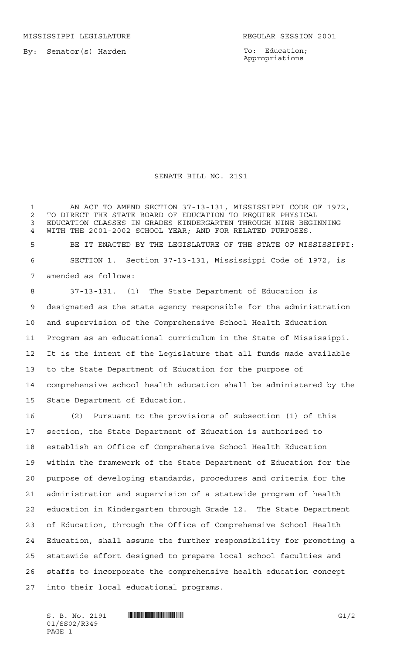MISSISSIPPI LEGISLATURE **REGULAR SESSION 2001** 

By: Senator(s) Harden

To: Education; Appropriations

## SENATE BILL NO. 2191

 AN ACT TO AMEND SECTION 37-13-131, MISSISSIPPI CODE OF 1972, TO DIRECT THE STATE BOARD OF EDUCATION TO REQUIRE PHYSICAL EDUCATION CLASSES IN GRADES KINDERGARTEN THROUGH NINE BEGINNING WITH THE 2001-2002 SCHOOL YEAR; AND FOR RELATED PURPOSES. BE IT ENACTED BY THE LEGISLATURE OF THE STATE OF MISSISSIPPI: SECTION 1. Section 37-13-131, Mississippi Code of 1972, is

amended as follows:

 37-13-131. (1) The State Department of Education is designated as the state agency responsible for the administration and supervision of the Comprehensive School Health Education Program as an educational curriculum in the State of Mississippi. It is the intent of the Legislature that all funds made available to the State Department of Education for the purpose of comprehensive school health education shall be administered by the State Department of Education.

 (2) Pursuant to the provisions of subsection (1) of this section, the State Department of Education is authorized to establish an Office of Comprehensive School Health Education within the framework of the State Department of Education for the purpose of developing standards, procedures and criteria for the administration and supervision of a statewide program of health education in Kindergarten through Grade 12. The State Department of Education, through the Office of Comprehensive School Health Education, shall assume the further responsibility for promoting a statewide effort designed to prepare local school faculties and staffs to incorporate the comprehensive health education concept into their local educational programs.

01/SS02/R349 PAGE 1

S. B. No. 2191 \*SS02/R349\* G1/2